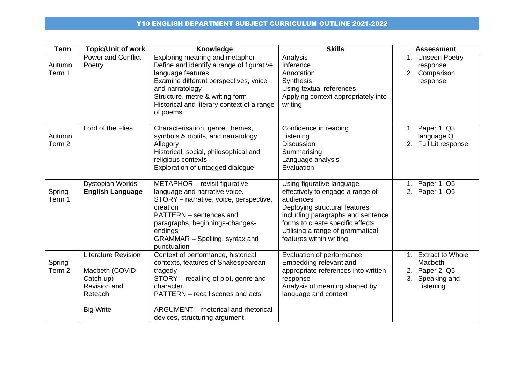## Y10 ENGLISH DEPARTMENT SUBJECT CURRICULUM OUTLINE 2021-2022

| <b>Term</b>                 | <b>Topic/Unit of work</b>                                                                                | Knowledge                                                                                                                                                                                                                                                 | <b>Skills</b>                                                                                                                                                                                                                                       | <b>Assessment</b>                                                                |
|-----------------------------|----------------------------------------------------------------------------------------------------------|-----------------------------------------------------------------------------------------------------------------------------------------------------------------------------------------------------------------------------------------------------------|-----------------------------------------------------------------------------------------------------------------------------------------------------------------------------------------------------------------------------------------------------|----------------------------------------------------------------------------------|
| Autumn<br>Term 1            | <b>Power and Conflict</b><br>Poetry                                                                      | Exploring meaning and metaphor<br>Define and identify a range of figurative<br>language features<br>Examine different perspectives, voice<br>and narratology<br>Structure, metre & writing form<br>Historical and literary context of a range<br>of poems | Analysis<br>Inference<br>Annotation<br><b>Synthesis</b><br>Using textual references<br>Applying context appropriately into<br>writing                                                                                                               | 1. Unseen Poetry<br>response<br>2. Comparison<br>response                        |
| Autumn<br>Term <sub>2</sub> | Lord of the Flies                                                                                        | Characterisation, genre, themes,<br>symbols & motifs, and narratology<br>Allegory<br>Historical, social, philosophical and<br>religious contexts<br>Exploration of untagged dialogue                                                                      | Confidence in reading<br>Listening<br>Discussion<br>Summarising<br>Language analysis<br>Evaluation                                                                                                                                                  | 1. Paper 1, Q3<br>language Q<br>2. Full Lit response                             |
| Spring<br>Term 1            | Dystopian Worlds<br><b>English Language</b>                                                              | METAPHOR - revisit figurative<br>language and narrative voice.<br>STORY - narrative, voice, perspective,<br>creation<br>PATTERN - sentences and<br>paragraphs, beginnings-changes-<br>endings<br>GRAMMAR - Spelling, syntax and<br>punctuation            | Using figurative language<br>effectively to engage a range of<br>audiences<br>Deploying structural features<br>including paragraphs and sentence<br>forms to create specific effects<br>Utilising a range of grammatical<br>features within writing | 1. Paper 1, Q5<br>2. Paper 1, Q5                                                 |
| Spring<br>Term <sub>2</sub> | <b>Literature Revision</b><br>Macbeth (COVID<br>Catch-up)<br>Revision and<br>Reteach<br><b>Big Write</b> | Context of performance, historical<br>contexts, features of Shakespearean<br>tragedy<br>STORY – recalling of plot, genre and<br>character.<br>PATTERN - recall scenes and acts<br>ARGUMENT - rhetorical and rhetorical<br>devices, structuring argument   | Evaluation of performance<br>Embedding relevant and<br>appropriate references into written<br>response<br>Analysis of meaning shaped by<br>language and context                                                                                     | 1. Extract to Whole<br>Macbeth<br>2. Paper 2, Q5<br>3. Speaking and<br>Listening |